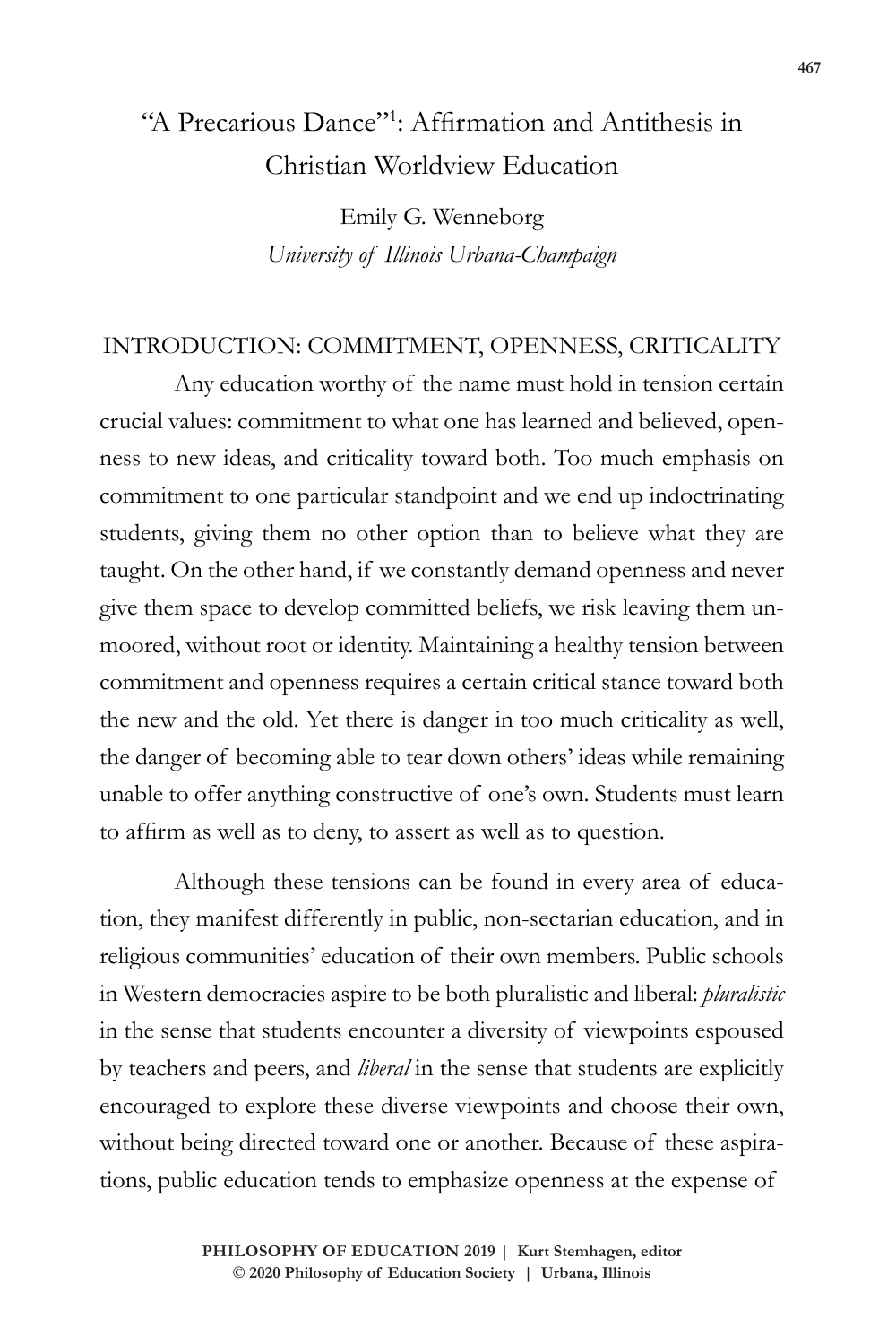# "A Precarious Dance"1 : Affirmation and Antithesis in Christian Worldview Education

Emily G. Wenneborg *University of Illinois Urbana-Champaign*

#### INTRODUCTION: COMMITMENT, OPENNESS, CRITICALITY

Any education worthy of the name must hold in tension certain crucial values: commitment to what one has learned and believed, openness to new ideas, and criticality toward both. Too much emphasis on commitment to one particular standpoint and we end up indoctrinating students, giving them no other option than to believe what they are taught. On the other hand, if we constantly demand openness and never give them space to develop committed beliefs, we risk leaving them unmoored, without root or identity. Maintaining a healthy tension between commitment and openness requires a certain critical stance toward both the new and the old. Yet there is danger in too much criticality as well, the danger of becoming able to tear down others' ideas while remaining unable to offer anything constructive of one's own. Students must learn to affirm as well as to deny, to assert as well as to question.

Although these tensions can be found in every area of education, they manifest differently in public, non-sectarian education, and in religious communities' education of their own members. Public schools in Western democracies aspire to be both pluralistic and liberal: *pluralistic* in the sense that students encounter a diversity of viewpoints espoused by teachers and peers, and *liberal* in the sense that students are explicitly encouraged to explore these diverse viewpoints and choose their own, without being directed toward one or another. Because of these aspirations, public education tends to emphasize openness at the expense of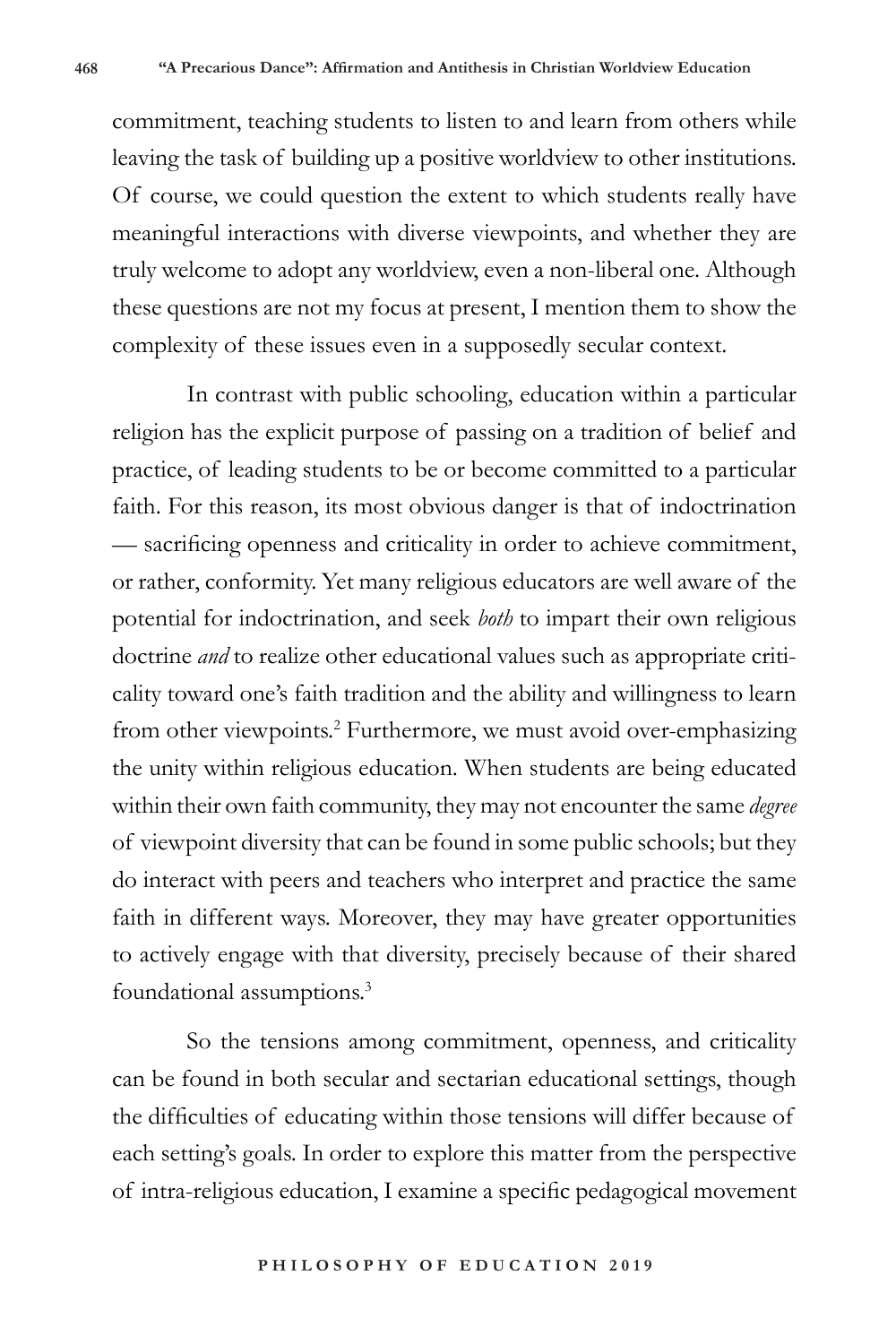commitment, teaching students to listen to and learn from others while leaving the task of building up a positive worldview to other institutions. Of course, we could question the extent to which students really have meaningful interactions with diverse viewpoints, and whether they are truly welcome to adopt any worldview, even a non-liberal one. Although these questions are not my focus at present, I mention them to show the complexity of these issues even in a supposedly secular context.

In contrast with public schooling, education within a particular religion has the explicit purpose of passing on a tradition of belief and practice, of leading students to be or become committed to a particular faith. For this reason, its most obvious danger is that of indoctrination — sacrificing openness and criticality in order to achieve commitment, or rather, conformity. Yet many religious educators are well aware of the potential for indoctrination, and seek *both* to impart their own religious doctrine *and* to realize other educational values such as appropriate criticality toward one's faith tradition and the ability and willingness to learn from other viewpoints.<sup>2</sup> Furthermore, we must avoid over-emphasizing the unity within religious education. When students are being educated within their own faith community, they may not encounter the same *degree* of viewpoint diversity that can be found in some public schools; but they do interact with peers and teachers who interpret and practice the same faith in different ways. Moreover, they may have greater opportunities to actively engage with that diversity, precisely because of their shared foundational assumptions.<sup>3</sup>

So the tensions among commitment, openness, and criticality can be found in both secular and sectarian educational settings, though the difficulties of educating within those tensions will differ because of each setting's goals. In order to explore this matter from the perspective of intra-religious education, I examine a specific pedagogical movement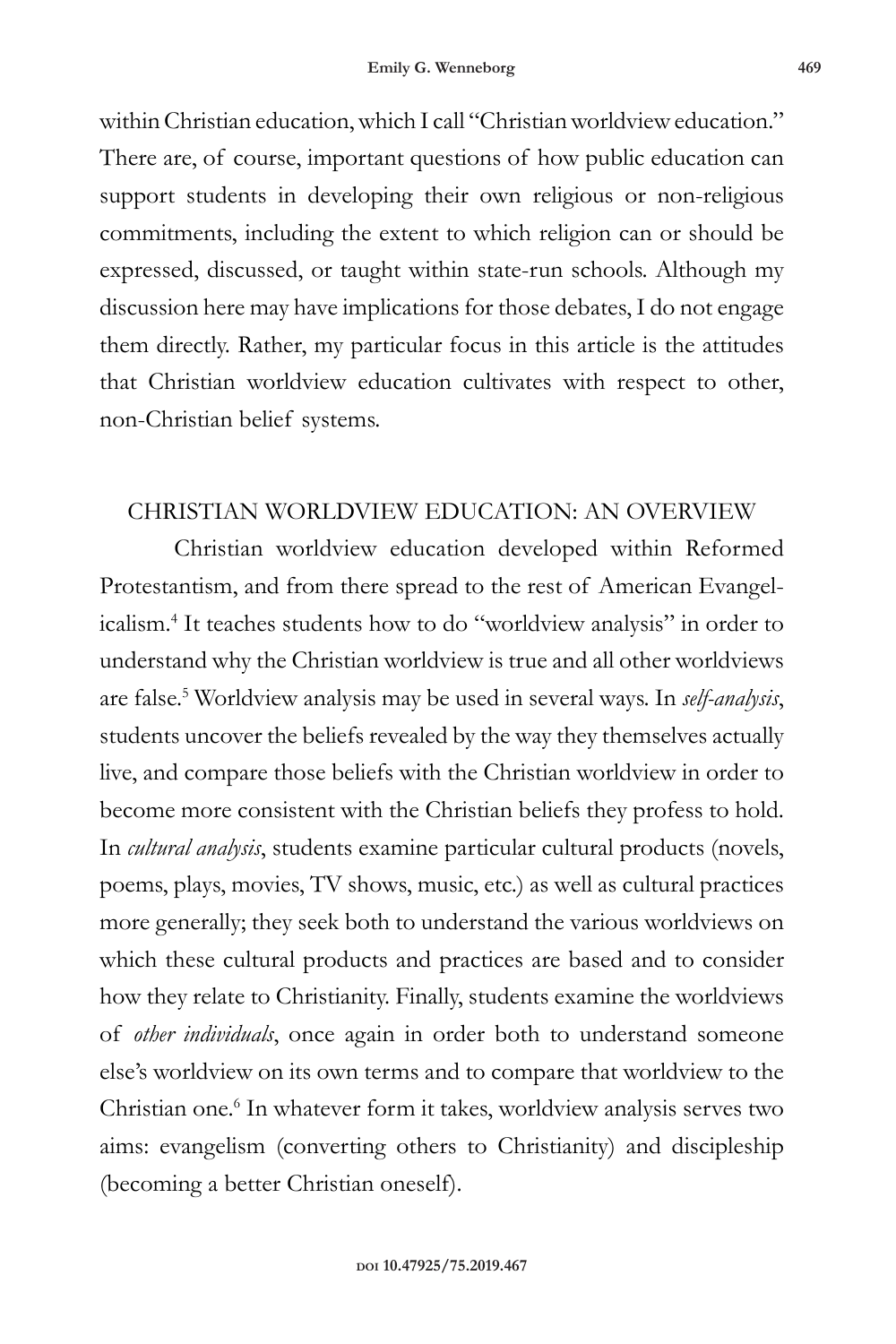within Christian education, which I call "Christian worldview education." There are, of course, important questions of how public education can support students in developing their own religious or non-religious commitments, including the extent to which religion can or should be expressed, discussed, or taught within state-run schools. Although my discussion here may have implications for those debates, I do not engage them directly. Rather, my particular focus in this article is the attitudes that Christian worldview education cultivates with respect to other, non-Christian belief systems.

#### CHRISTIAN WORLDVIEW EDUCATION: AN OVERVIEW

Christian worldview education developed within Reformed Protestantism, and from there spread to the rest of American Evangelicalism.<sup>4</sup> It teaches students how to do "worldview analysis" in order to understand why the Christian worldview is true and all other worldviews are false.<sup>5</sup> Worldview analysis may be used in several ways. In *self-analysis*, students uncover the beliefs revealed by the way they themselves actually live, and compare those beliefs with the Christian worldview in order to become more consistent with the Christian beliefs they profess to hold. In *cultural analysis*, students examine particular cultural products (novels, poems, plays, movies, TV shows, music, etc.) as well as cultural practices more generally; they seek both to understand the various worldviews on which these cultural products and practices are based and to consider how they relate to Christianity. Finally, students examine the worldviews of *other individuals*, once again in order both to understand someone else's worldview on its own terms and to compare that worldview to the Christian one.<sup>6</sup> In whatever form it takes, worldview analysis serves two aims: evangelism (converting others to Christianity) and discipleship (becoming a better Christian oneself).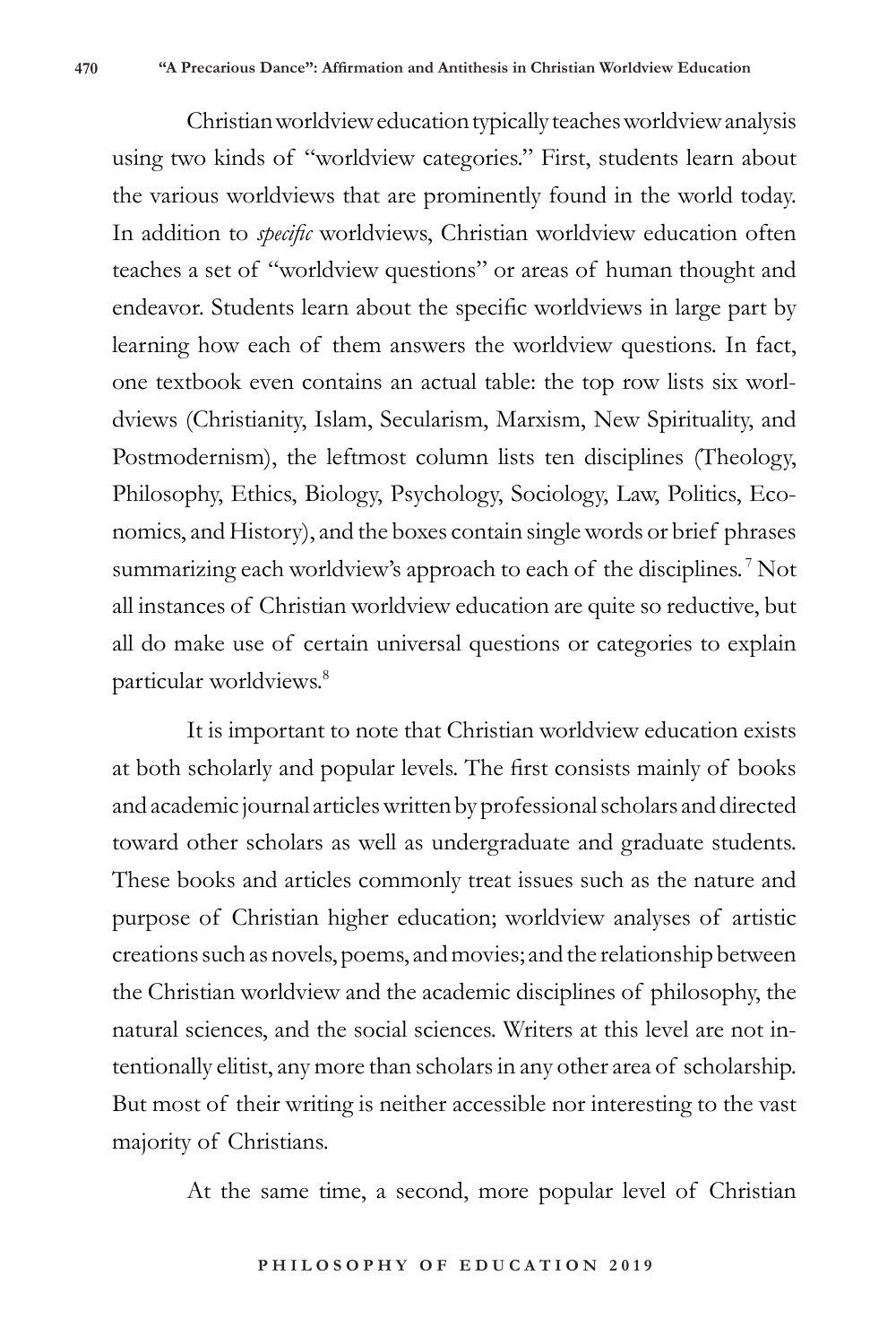Christian worldview education typically teaches worldview analysis using two kinds of "worldview categories." First, students learn about the various worldviews that are prominently found in the world today. In addition to *specific* worldviews, Christian worldview education often teaches a set of "worldview questions" or areas of human thought and endeavor. Students learn about the specific worldviews in large part by learning how each of them answers the worldview questions. In fact, one textbook even contains an actual table: the top row lists six worldviews (Christianity, Islam, Secularism, Marxism, New Spirituality, and Postmodernism), the leftmost column lists ten disciplines (Theology, Philosophy, Ethics, Biology, Psychology, Sociology, Law, Politics, Economics, and History), and the boxes contain single words or brief phrases summarizing each worldview's approach to each of the disciplines.<sup>7</sup> Not all instances of Christian worldview education are quite so reductive, but all do make use of certain universal questions or categories to explain particular worldviews.<sup>8</sup>

It is important to note that Christian worldview education exists at both scholarly and popular levels. The first consists mainly of books and academic journal articles written by professional scholars and directed toward other scholars as well as undergraduate and graduate students. These books and articles commonly treat issues such as the nature and purpose of Christian higher education; worldview analyses of artistic creations such as novels, poems, and movies; and the relationship between the Christian worldview and the academic disciplines of philosophy, the natural sciences, and the social sciences. Writers at this level are not intentionally elitist, any more than scholars in any other area of scholarship. But most of their writing is neither accessible nor interesting to the vast majority of Christians.

At the same time, a second, more popular level of Christian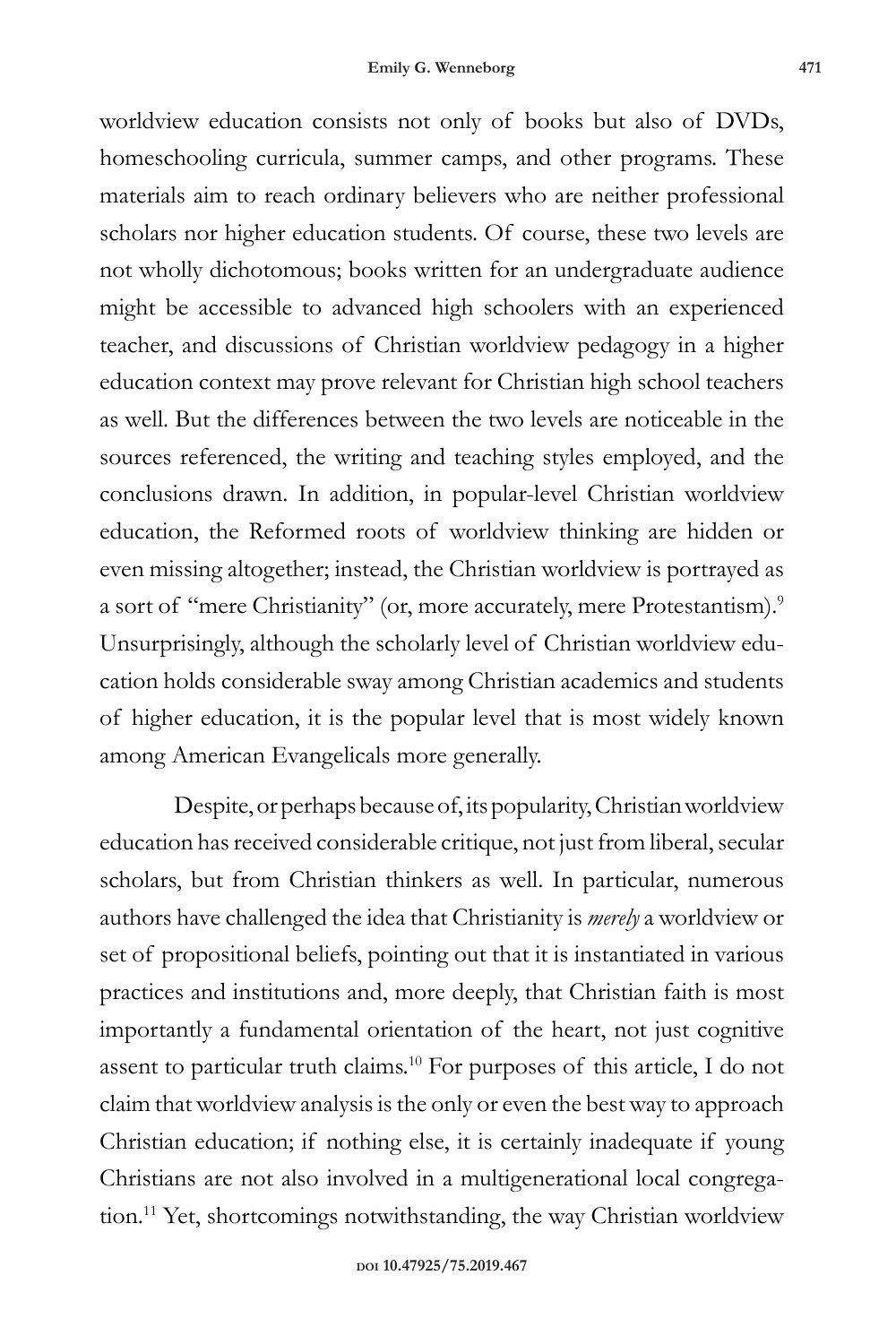worldview education consists not only of books but also of DVDs, homeschooling curricula, summer camps, and other programs. These materials aim to reach ordinary believers who are neither professional scholars nor higher education students. Of course, these two levels are not wholly dichotomous; books written for an undergraduate audience might be accessible to advanced high schoolers with an experienced teacher, and discussions of Christian worldview pedagogy in a higher education context may prove relevant for Christian high school teachers as well. But the differences between the two levels are noticeable in the sources referenced, the writing and teaching styles employed, and the conclusions drawn. In addition, in popular-level Christian worldview education, the Reformed roots of worldview thinking are hidden or even missing altogether; instead, the Christian worldview is portrayed as a sort of "mere Christianity" (or, more accurately, mere Protestantism).<sup>9</sup> Unsurprisingly, although the scholarly level of Christian worldview education holds considerable sway among Christian academics and students of higher education, it is the popular level that is most widely known among American Evangelicals more generally.

Despite, or perhaps because of, its popularity, Christian worldview education has received considerable critique, not just from liberal, secular scholars, but from Christian thinkers as well. In particular, numerous authors have challenged the idea that Christianity is *merely* a worldview or set of propositional beliefs, pointing out that it is instantiated in various practices and institutions and, more deeply, that Christian faith is most importantly a fundamental orientation of the heart, not just cognitive assent to particular truth claims.<sup>10</sup> For purposes of this article, I do not claim that worldview analysis is the only or even the best way to approach Christian education; if nothing else, it is certainly inadequate if young Christians are not also involved in a multigenerational local congregation.11 Yet, shortcomings notwithstanding, the way Christian worldview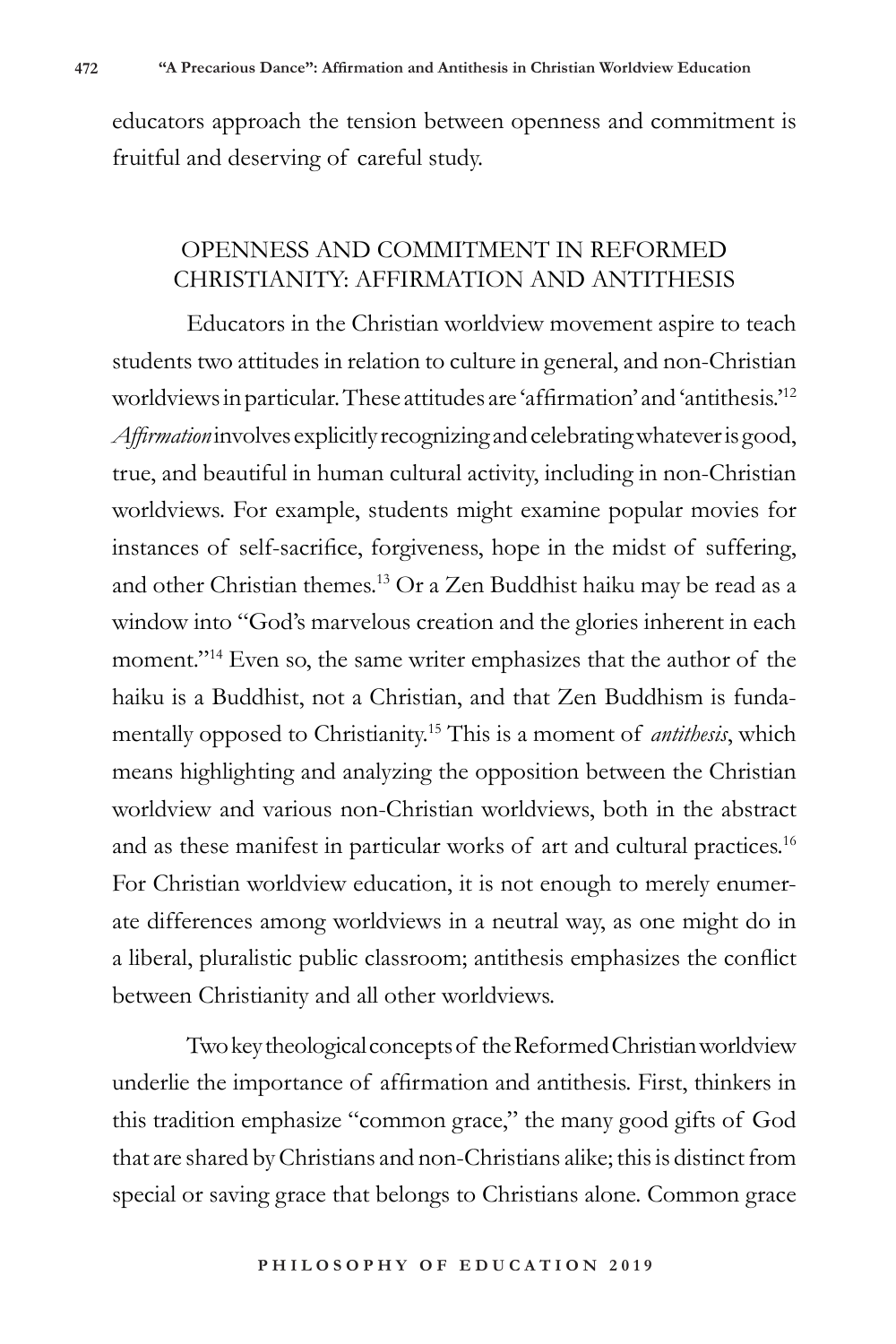educators approach the tension between openness and commitment is fruitful and deserving of careful study.

## OPENNESS AND COMMITMENT IN REFORMED CHRISTIANITY: AFFIRMATION AND ANTITHESIS

Educators in the Christian worldview movement aspire to teach students two attitudes in relation to culture in general, and non-Christian worldviews in particular. These attitudes are 'affirmation' and 'antithesis.'<sup>12</sup> *Affirmation* involves explicitly recognizing and celebrating whatever is good, true, and beautiful in human cultural activity, including in non-Christian worldviews. For example, students might examine popular movies for instances of self-sacrifice, forgiveness, hope in the midst of suffering, and other Christian themes.<sup>13</sup> Or a Zen Buddhist haiku may be read as a window into "God's marvelous creation and the glories inherent in each moment."<sup>14</sup> Even so, the same writer emphasizes that the author of the haiku is a Buddhist, not a Christian, and that Zen Buddhism is fundamentally opposed to Christianity.<sup>15</sup> This is a moment of *antithesis*, which means highlighting and analyzing the opposition between the Christian worldview and various non-Christian worldviews, both in the abstract and as these manifest in particular works of art and cultural practices.<sup>16</sup> For Christian worldview education, it is not enough to merely enumerate differences among worldviews in a neutral way, as one might do in a liberal, pluralistic public classroom; antithesis emphasizes the conflict between Christianity and all other worldviews.

Two key theological concepts of the Reformed Christian worldview underlie the importance of affirmation and antithesis. First, thinkers in this tradition emphasize "common grace," the many good gifts of God that are shared by Christians and non-Christians alike; this is distinct from special or saving grace that belongs to Christians alone. Common grace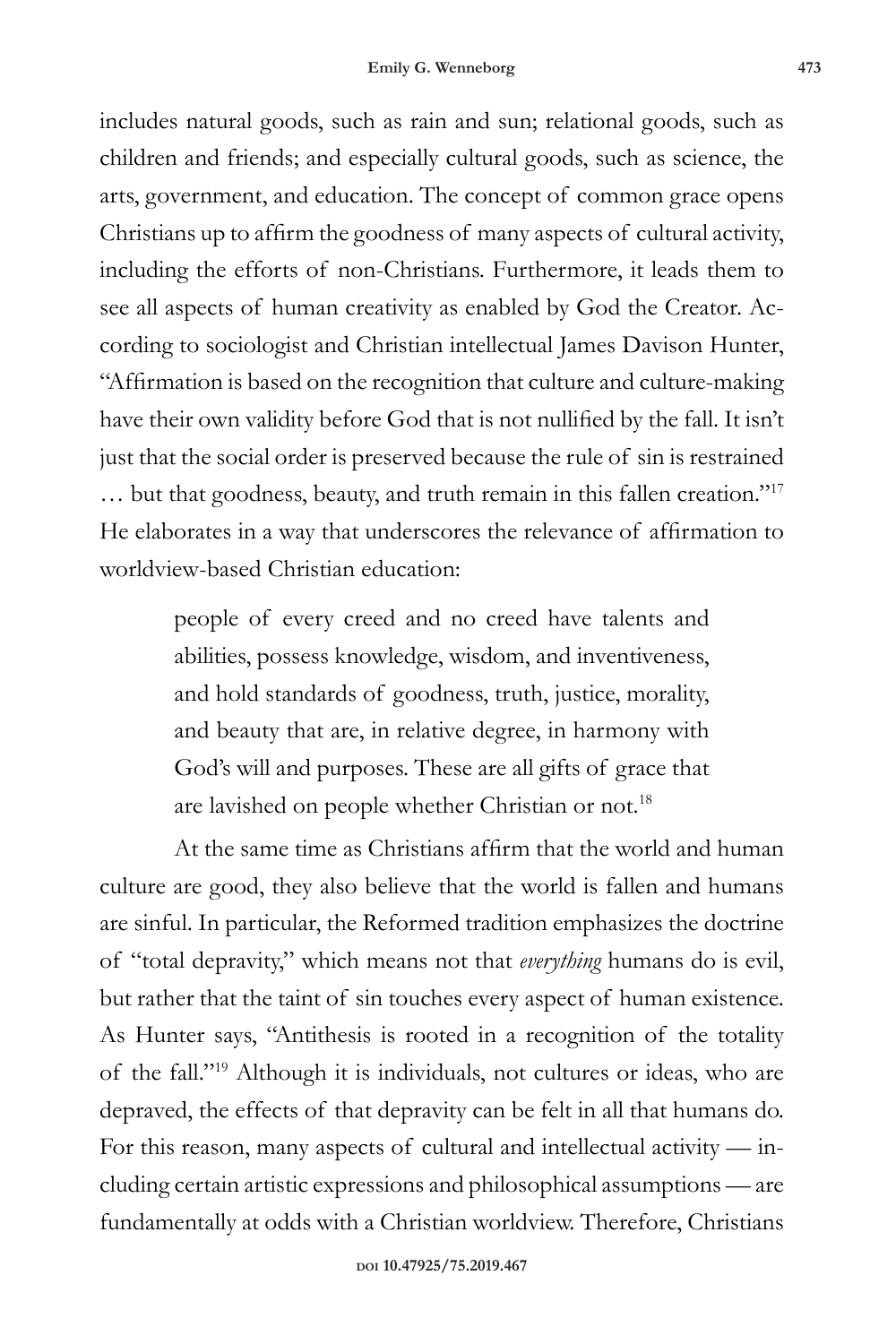includes natural goods, such as rain and sun; relational goods, such as children and friends; and especially cultural goods, such as science, the arts, government, and education. The concept of common grace opens Christians up to affirm the goodness of many aspects of cultural activity, including the efforts of non-Christians. Furthermore, it leads them to see all aspects of human creativity as enabled by God the Creator. According to sociologist and Christian intellectual James Davison Hunter, "Affirmation is based on the recognition that culture and culture-making have their own validity before God that is not nullified by the fall. It isn't just that the social order is preserved because the rule of sin is restrained … but that goodness, beauty, and truth remain in this fallen creation."<sup>17</sup> He elaborates in a way that underscores the relevance of affirmation to worldview-based Christian education:

> people of every creed and no creed have talents and abilities, possess knowledge, wisdom, and inventiveness, and hold standards of goodness, truth, justice, morality, and beauty that are, in relative degree, in harmony with God's will and purposes. These are all gifts of grace that are lavished on people whether Christian or not.<sup>18</sup>

At the same time as Christians affirm that the world and human culture are good, they also believe that the world is fallen and humans are sinful. In particular, the Reformed tradition emphasizes the doctrine of "total depravity," which means not that *everything* humans do is evil, but rather that the taint of sin touches every aspect of human existence. As Hunter says, "Antithesis is rooted in a recognition of the totality of the fall."<sup>19</sup> Although it is individuals, not cultures or ideas, who are depraved, the effects of that depravity can be felt in all that humans do. For this reason, many aspects of cultural and intellectual activity — including certain artistic expressions and philosophical assumptions — are fundamentally at odds with a Christian worldview. Therefore, Christians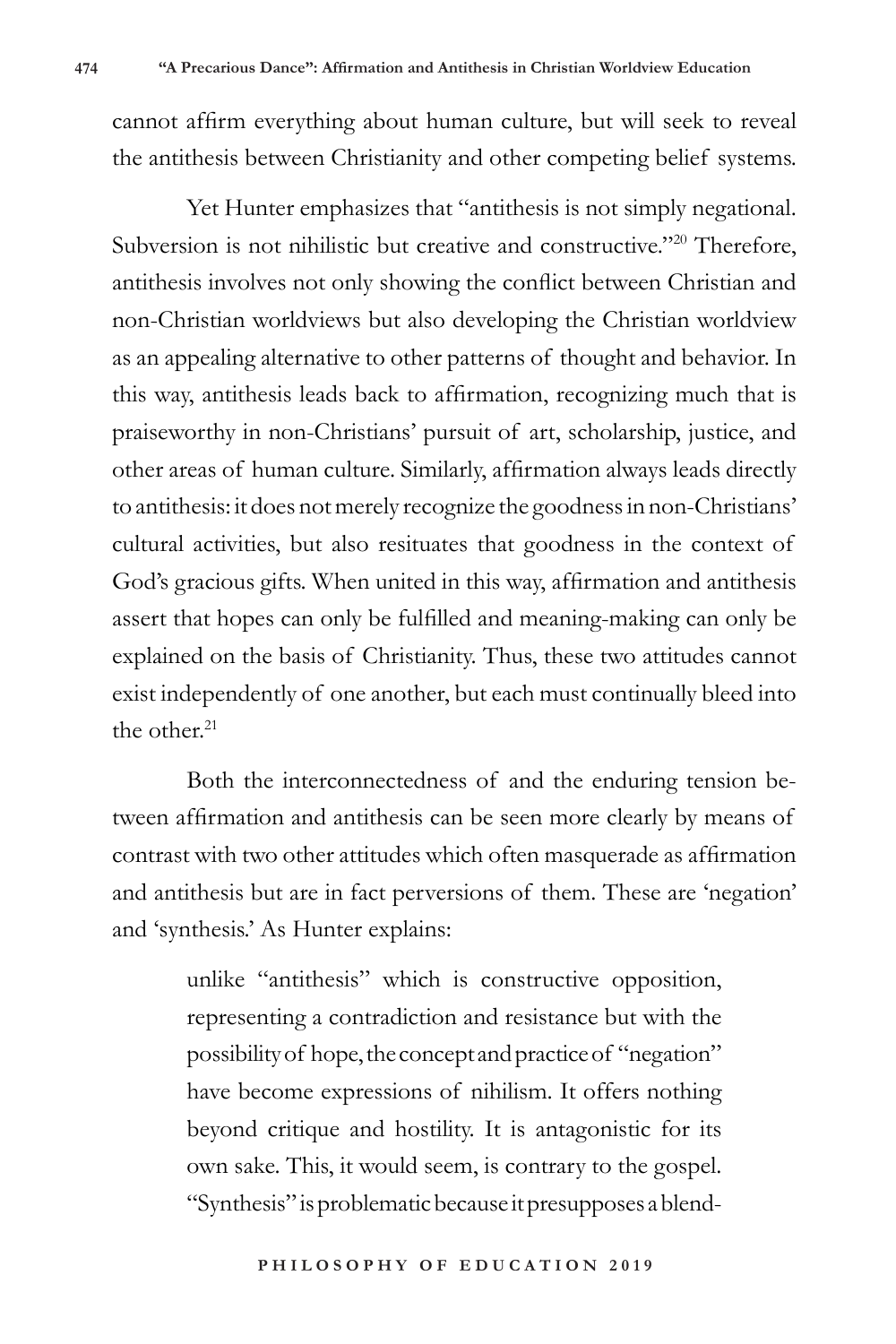cannot affirm everything about human culture, but will seek to reveal the antithesis between Christianity and other competing belief systems.

Yet Hunter emphasizes that "antithesis is not simply negational. Subversion is not nihilistic but creative and constructive."<sup>20</sup> Therefore, antithesis involves not only showing the conflict between Christian and non-Christian worldviews but also developing the Christian worldview as an appealing alternative to other patterns of thought and behavior. In this way, antithesis leads back to affirmation, recognizing much that is praiseworthy in non-Christians' pursuit of art, scholarship, justice, and other areas of human culture. Similarly, affirmation always leads directly to antithesis: it does not merely recognize the goodness in non-Christians' cultural activities, but also resituates that goodness in the context of God's gracious gifts. When united in this way, affirmation and antithesis assert that hopes can only be fulfilled and meaning-making can only be explained on the basis of Christianity. Thus, these two attitudes cannot exist independently of one another, but each must continually bleed into the other $21$ 

Both the interconnectedness of and the enduring tension between affirmation and antithesis can be seen more clearly by means of contrast with two other attitudes which often masquerade as affirmation and antithesis but are in fact perversions of them. These are 'negation' and 'synthesis.' As Hunter explains:

> unlike "antithesis" which is constructive opposition, representing a contradiction and resistance but with the possibility of hope, the concept and practice of "negation" have become expressions of nihilism. It offers nothing beyond critique and hostility. It is antagonistic for its own sake. This, it would seem, is contrary to the gospel. "Synthesis" is problematic because it presupposes a blend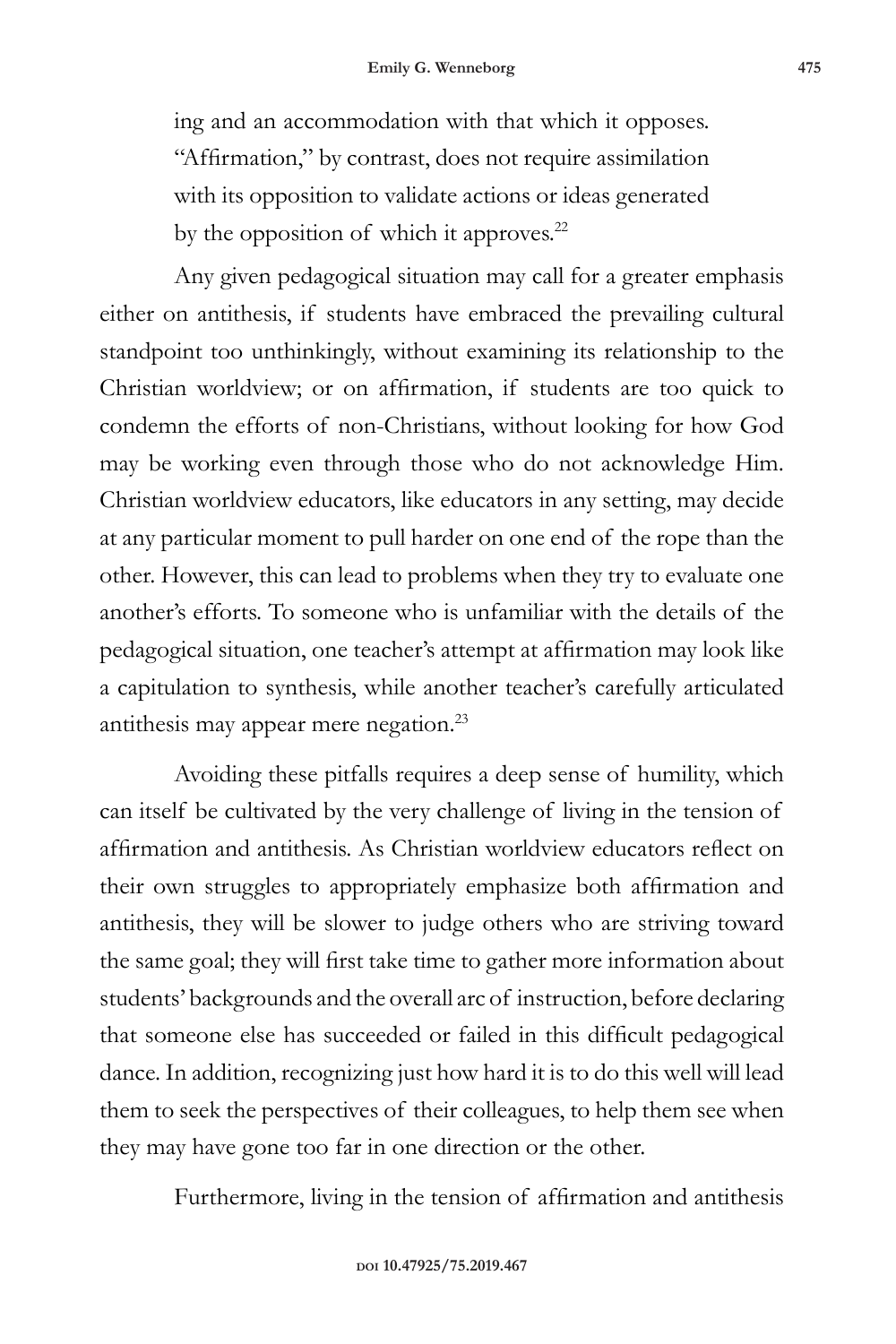ing and an accommodation with that which it opposes. "Affirmation," by contrast, does not require assimilation with its opposition to validate actions or ideas generated

by the opposition of which it approves.<sup>22</sup>

Any given pedagogical situation may call for a greater emphasis either on antithesis, if students have embraced the prevailing cultural standpoint too unthinkingly, without examining its relationship to the Christian worldview; or on affirmation, if students are too quick to condemn the efforts of non-Christians, without looking for how God may be working even through those who do not acknowledge Him. Christian worldview educators, like educators in any setting, may decide at any particular moment to pull harder on one end of the rope than the other. However, this can lead to problems when they try to evaluate one another's efforts. To someone who is unfamiliar with the details of the pedagogical situation, one teacher's attempt at affirmation may look like a capitulation to synthesis, while another teacher's carefully articulated antithesis may appear mere negation.<sup>23</sup>

Avoiding these pitfalls requires a deep sense of humility, which can itself be cultivated by the very challenge of living in the tension of affirmation and antithesis. As Christian worldview educators reflect on their own struggles to appropriately emphasize both affirmation and antithesis, they will be slower to judge others who are striving toward the same goal; they will first take time to gather more information about students' backgrounds and the overall arc of instruction, before declaring that someone else has succeeded or failed in this difficult pedagogical dance. In addition, recognizing just how hard it is to do this well will lead them to seek the perspectives of their colleagues, to help them see when they may have gone too far in one direction or the other.

Furthermore, living in the tension of affirmation and antithesis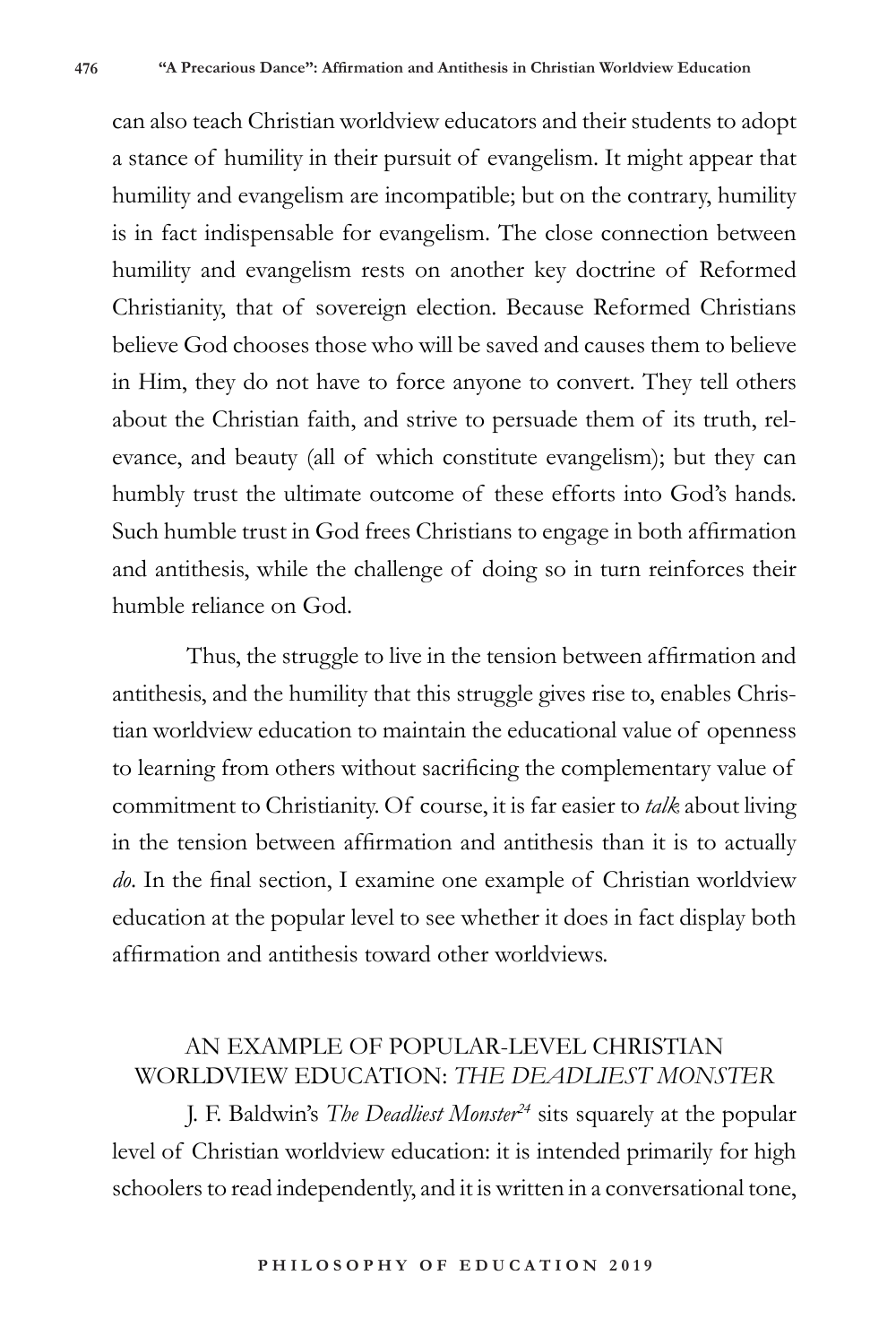can also teach Christian worldview educators and their students to adopt a stance of humility in their pursuit of evangelism. It might appear that humility and evangelism are incompatible; but on the contrary, humility is in fact indispensable for evangelism. The close connection between humility and evangelism rests on another key doctrine of Reformed Christianity, that of sovereign election. Because Reformed Christians believe God chooses those who will be saved and causes them to believe in Him, they do not have to force anyone to convert. They tell others about the Christian faith, and strive to persuade them of its truth, relevance, and beauty (all of which constitute evangelism); but they can humbly trust the ultimate outcome of these efforts into God's hands. Such humble trust in God frees Christians to engage in both affirmation and antithesis, while the challenge of doing so in turn reinforces their humble reliance on God.

Thus, the struggle to live in the tension between affirmation and antithesis, and the humility that this struggle gives rise to, enables Christian worldview education to maintain the educational value of openness to learning from others without sacrificing the complementary value of commitment to Christianity. Of course, it is far easier to *talk* about living in the tension between affirmation and antithesis than it is to actually *do*. In the final section, I examine one example of Christian worldview education at the popular level to see whether it does in fact display both affirmation and antithesis toward other worldviews.

## AN EXAMPLE OF POPULAR-LEVEL CHRISTIAN WORLDVIEW EDUCATION: *THE DEADLIEST MONSTER*

J. F. Baldwin's *The Deadliest Monster24* sits squarely at the popular level of Christian worldview education: it is intended primarily for high schoolers to read independently, and it is written in a conversational tone,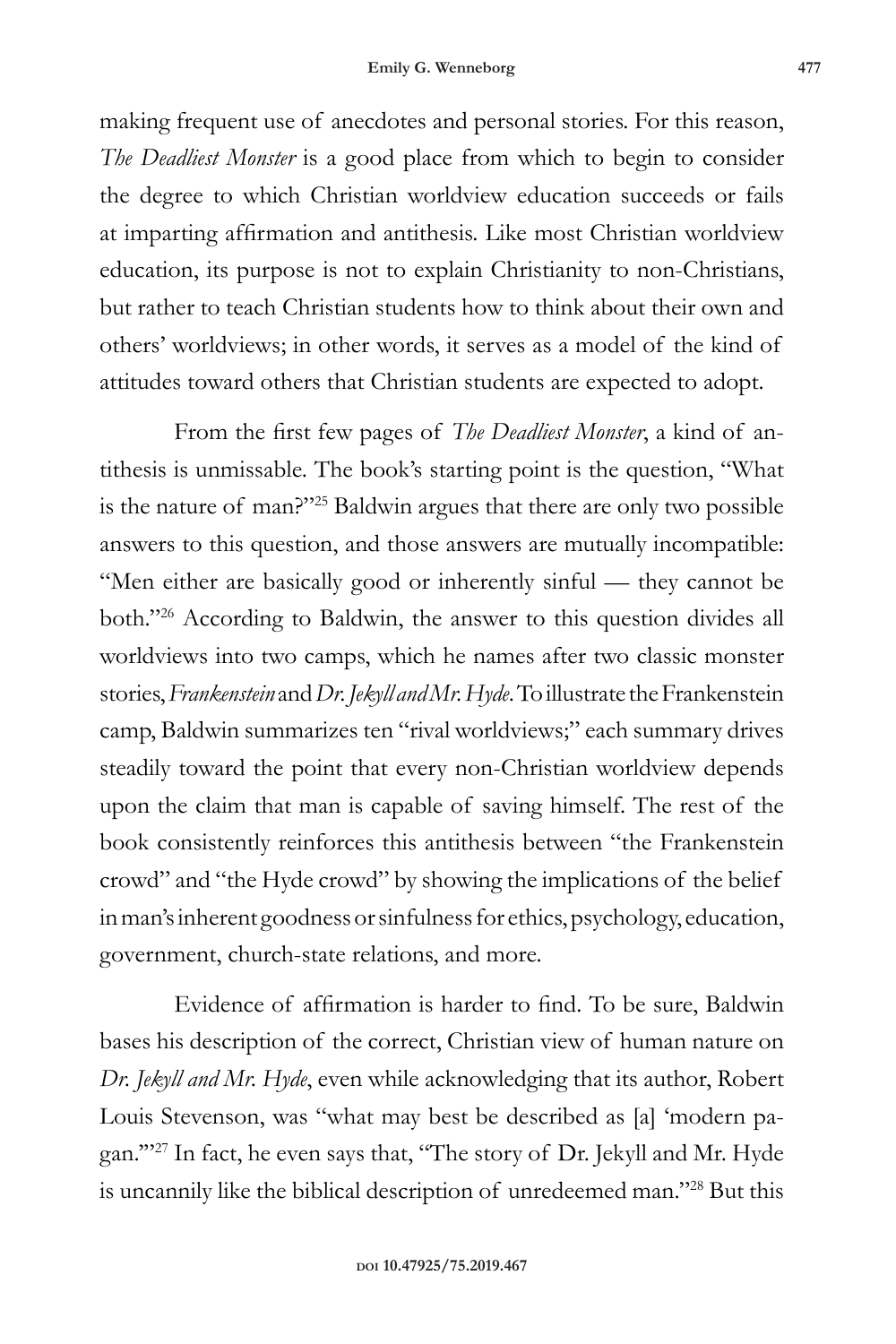making frequent use of anecdotes and personal stories. For this reason, *The Deadliest Monster* is a good place from which to begin to consider the degree to which Christian worldview education succeeds or fails at imparting affirmation and antithesis. Like most Christian worldview education, its purpose is not to explain Christianity to non-Christians, but rather to teach Christian students how to think about their own and others' worldviews; in other words, it serves as a model of the kind of attitudes toward others that Christian students are expected to adopt.

From the first few pages of *The Deadliest Monster*, a kind of antithesis is unmissable. The book's starting point is the question, "What is the nature of man?"<sup>25</sup> Baldwin argues that there are only two possible answers to this question, and those answers are mutually incompatible: "Men either are basically good or inherently sinful — they cannot be both."<sup>26</sup> According to Baldwin, the answer to this question divides all worldviews into two camps, which he names after two classic monster stories, *Frankenstein* and *Dr. Jekyll and Mr. Hyde*. To illustrate the Frankenstein camp, Baldwin summarizes ten "rival worldviews;" each summary drives steadily toward the point that every non-Christian worldview depends upon the claim that man is capable of saving himself. The rest of the book consistently reinforces this antithesis between "the Frankenstein crowd" and "the Hyde crowd" by showing the implications of the belief in man's inherent goodness or sinfulness for ethics, psychology, education, government, church-state relations, and more.

Evidence of affirmation is harder to find. To be sure, Baldwin bases his description of the correct, Christian view of human nature on *Dr. Jekyll and Mr. Hyde*, even while acknowledging that its author, Robert Louis Stevenson, was "what may best be described as [a] 'modern pagan.'"<sup>27</sup> In fact, he even says that, "The story of Dr. Jekyll and Mr. Hyde is uncannily like the biblical description of unredeemed man."28 But this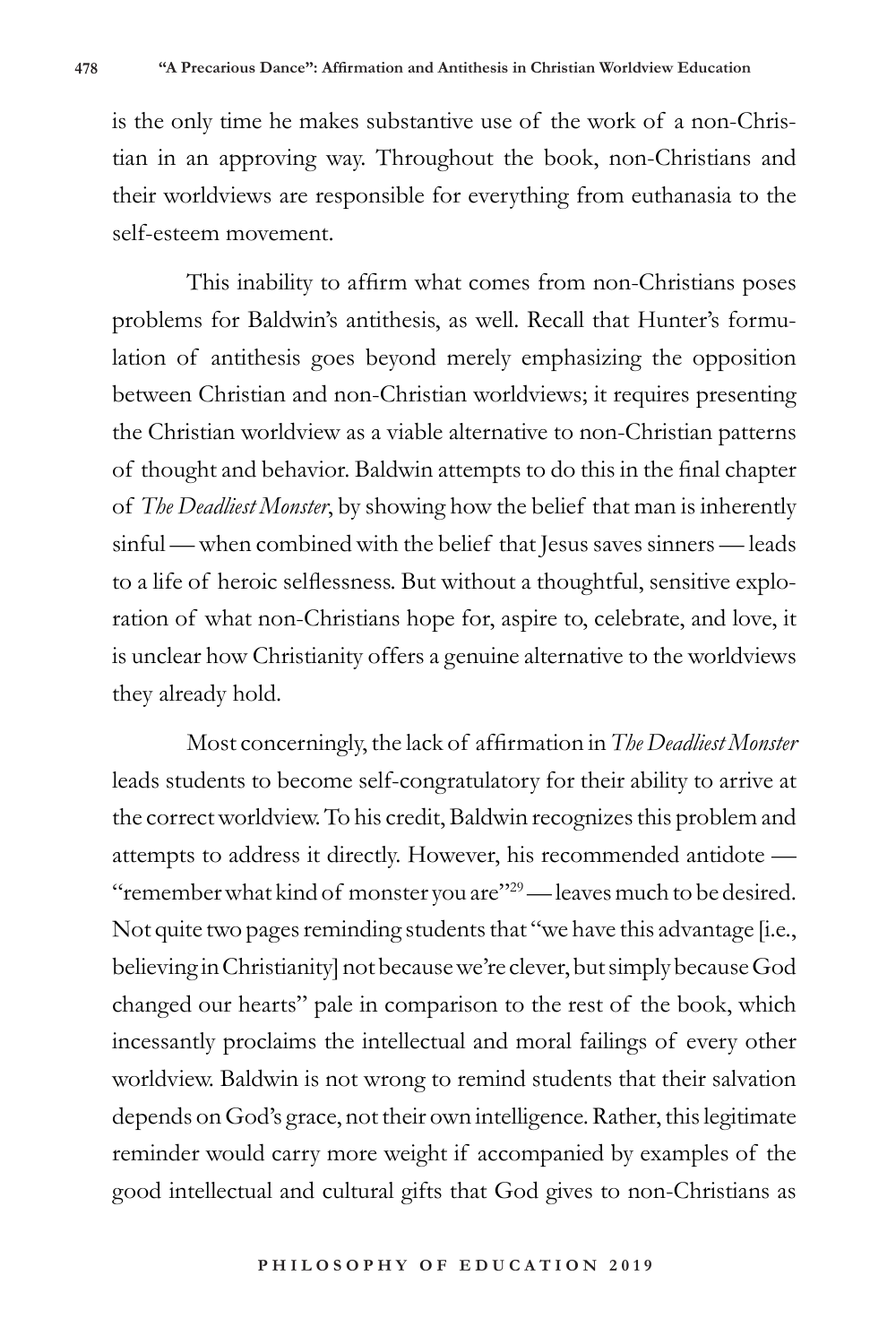is the only time he makes substantive use of the work of a non-Christian in an approving way. Throughout the book, non-Christians and their worldviews are responsible for everything from euthanasia to the self-esteem movement.

This inability to affirm what comes from non-Christians poses problems for Baldwin's antithesis, as well. Recall that Hunter's formulation of antithesis goes beyond merely emphasizing the opposition between Christian and non-Christian worldviews; it requires presenting the Christian worldview as a viable alternative to non-Christian patterns of thought and behavior. Baldwin attempts to do this in the final chapter of *The Deadliest Monster*, by showing how the belief that man is inherently sinful — when combined with the belief that Jesus saves sinners — leads to a life of heroic selflessness. But without a thoughtful, sensitive exploration of what non-Christians hope for, aspire to, celebrate, and love, it is unclear how Christianity offers a genuine alternative to the worldviews they already hold.

Most concerningly, the lack of affirmation in *The Deadliest Monster* leads students to become self-congratulatory for their ability to arrive at the correct worldview. To his credit, Baldwin recognizes this problem and attempts to address it directly. However, his recommended antidote — "remember what kind of monster you are"<sup>29</sup>— leaves much to be desired. Not quite two pages reminding students that "we have this advantage [i.e., believing in Christianity] not because we're clever, but simply because God changed our hearts" pale in comparison to the rest of the book, which incessantly proclaims the intellectual and moral failings of every other worldview. Baldwin is not wrong to remind students that their salvation depends on God's grace, not their own intelligence. Rather, this legitimate reminder would carry more weight if accompanied by examples of the good intellectual and cultural gifts that God gives to non-Christians as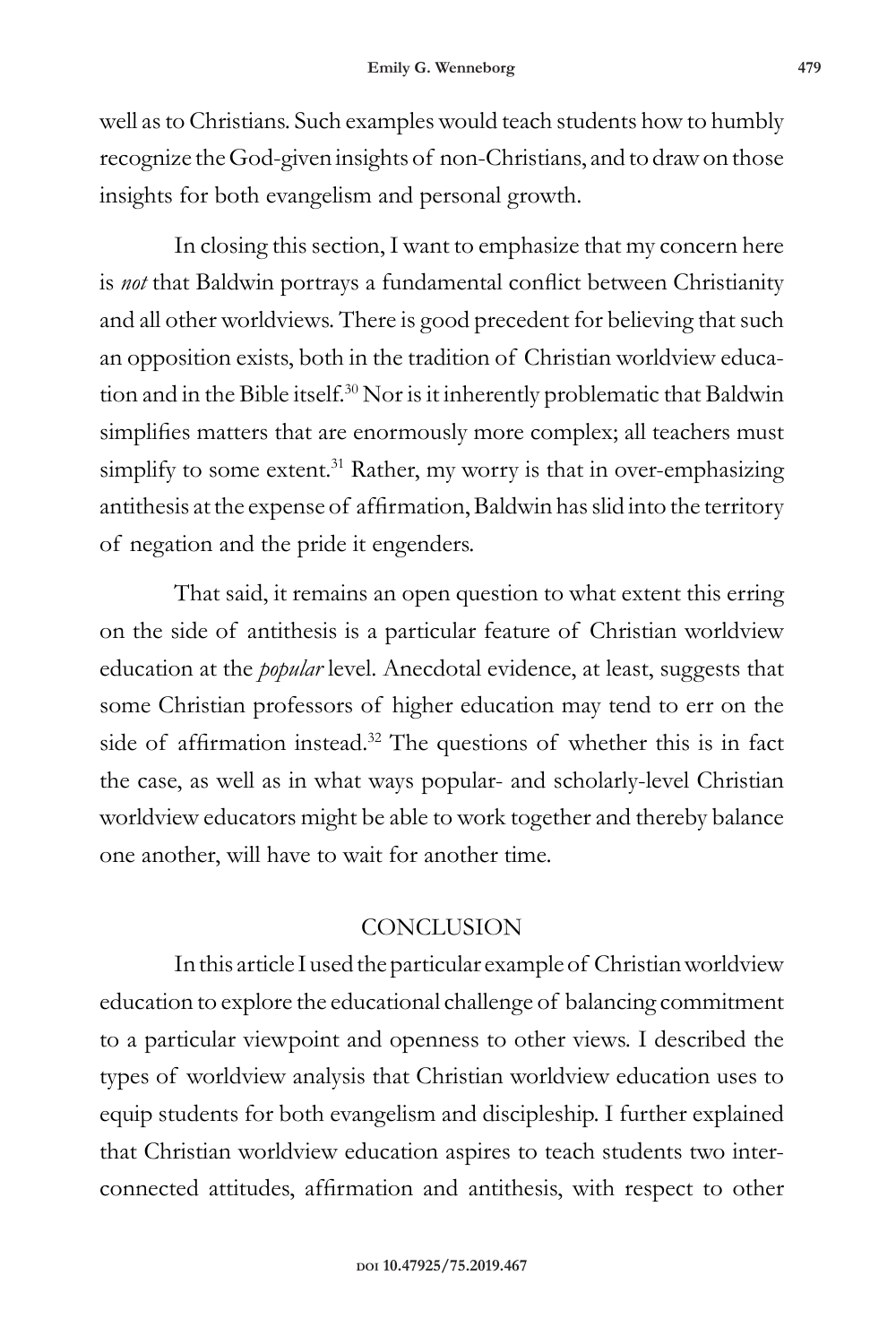well as to Christians. Such examples would teach students how to humbly recognize the God-given insights of non-Christians, and to draw on those insights for both evangelism and personal growth.

In closing this section, I want to emphasize that my concern here is *not* that Baldwin portrays a fundamental conflict between Christianity and all other worldviews. There is good precedent for believing that such an opposition exists, both in the tradition of Christian worldview education and in the Bible itself.<sup>30</sup> Nor is it inherently problematic that Baldwin simplifies matters that are enormously more complex; all teachers must simplify to some extent.<sup>31</sup> Rather, my worry is that in over-emphasizing antithesis at the expense of affirmation, Baldwin has slid into the territory of negation and the pride it engenders.

That said, it remains an open question to what extent this erring on the side of antithesis is a particular feature of Christian worldview education at the *popular* level. Anecdotal evidence, at least, suggests that some Christian professors of higher education may tend to err on the side of affirmation instead.<sup>32</sup> The questions of whether this is in fact the case, as well as in what ways popular- and scholarly-level Christian worldview educators might be able to work together and thereby balance one another, will have to wait for another time.

## **CONCLUSION**

In this article I used the particular example of Christian worldview education to explore the educational challenge of balancing commitment to a particular viewpoint and openness to other views. I described the types of worldview analysis that Christian worldview education uses to equip students for both evangelism and discipleship. I further explained that Christian worldview education aspires to teach students two interconnected attitudes, affirmation and antithesis, with respect to other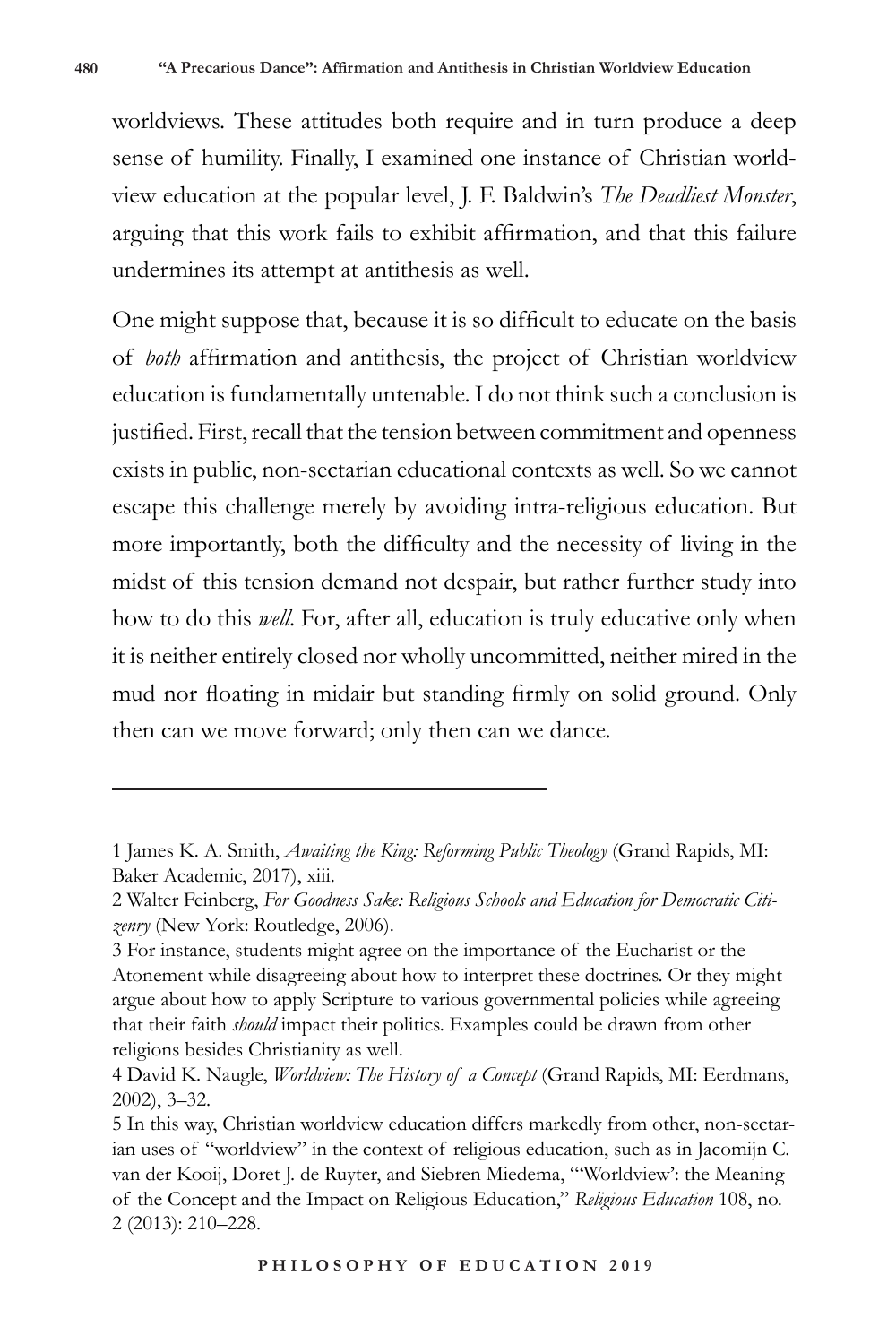worldviews. These attitudes both require and in turn produce a deep sense of humility. Finally, I examined one instance of Christian worldview education at the popular level, J. F. Baldwin's *The Deadliest Monster*, arguing that this work fails to exhibit affirmation, and that this failure undermines its attempt at antithesis as well.

One might suppose that, because it is so difficult to educate on the basis of *both* affirmation and antithesis, the project of Christian worldview education is fundamentally untenable. I do not think such a conclusion is justified. First, recall that the tension between commitment and openness exists in public, non-sectarian educational contexts as well. So we cannot escape this challenge merely by avoiding intra-religious education. But more importantly, both the difficulty and the necessity of living in the midst of this tension demand not despair, but rather further study into how to do this *well*. For, after all, education is truly educative only when it is neither entirely closed nor wholly uncommitted, neither mired in the mud nor floating in midair but standing firmly on solid ground. Only then can we move forward; only then can we dance.

<sup>1</sup> James K. A. Smith, *Awaiting the King: Reforming Public Theology* (Grand Rapids, MI: Baker Academic, 2017), xiii.

<sup>2</sup> Walter Feinberg, *For Goodness Sake: Religious Schools and Education for Democratic Citizenry* (New York: Routledge, 2006).

<sup>3</sup> For instance, students might agree on the importance of the Eucharist or the Atonement while disagreeing about how to interpret these doctrines. Or they might argue about how to apply Scripture to various governmental policies while agreeing that their faith *should* impact their politics. Examples could be drawn from other religions besides Christianity as well.

<sup>4</sup> David K. Naugle, *Worldview: The History of a Concept* (Grand Rapids, MI: Eerdmans, 2002), 3–32.

<sup>5</sup> In this way, Christian worldview education differs markedly from other, non-sectarian uses of "worldview" in the context of religious education, such as in Jacomijn C. van der Kooij, Doret J. de Ruyter, and Siebren Miedema, "'Worldview': the Meaning of the Concept and the Impact on Religious Education," *Religious Education* 108, no. 2 (2013): 210–228.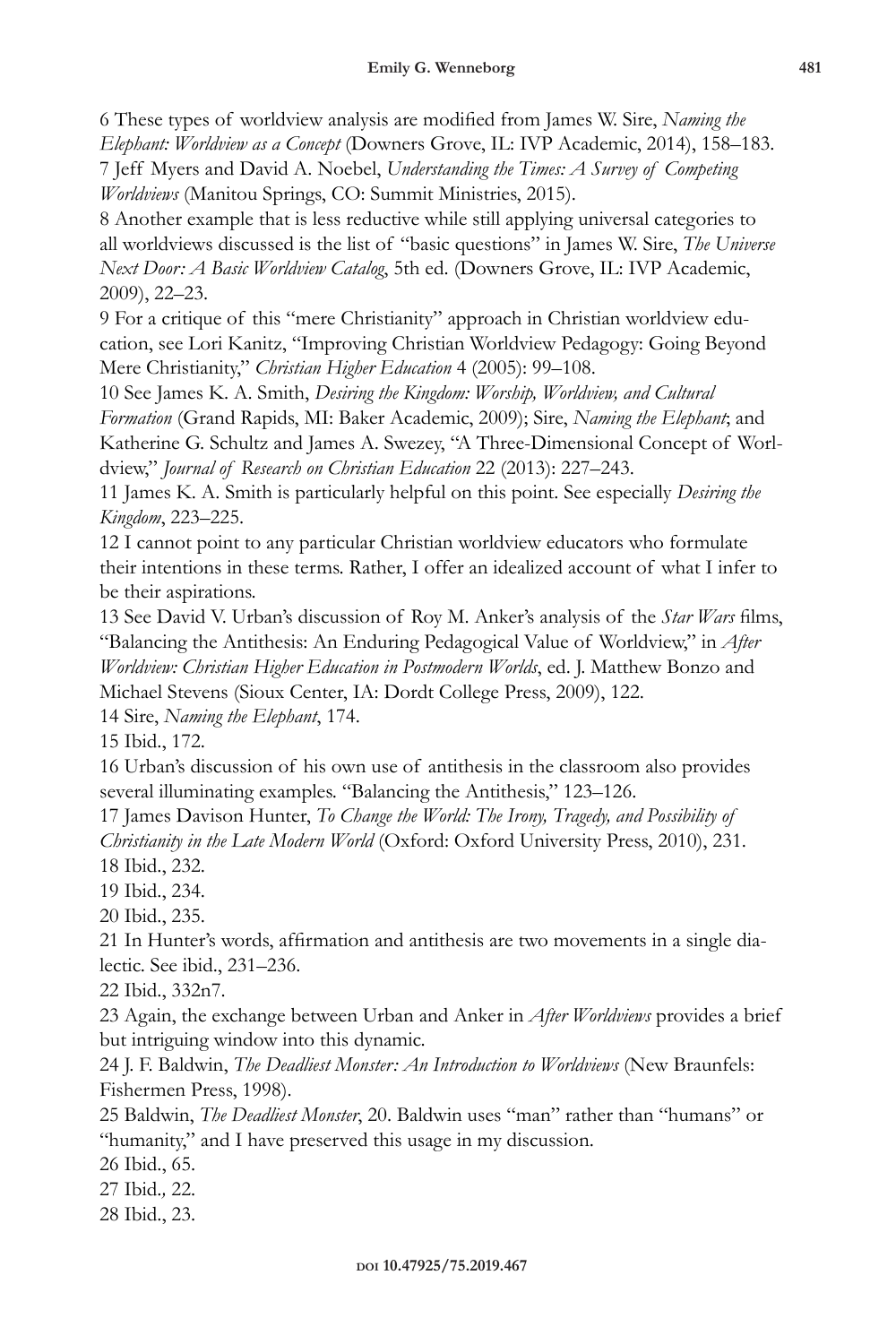6 These types of worldview analysis are modified from James W. Sire, *Naming the Elephant: Worldview as a Concept* (Downers Grove, IL: IVP Academic, 2014), 158–183. 7 Jeff Myers and David A. Noebel, *Understanding the Times: A Survey of Competing Worldviews* (Manitou Springs, CO: Summit Ministries, 2015).

8 Another example that is less reductive while still applying universal categories to all worldviews discussed is the list of "basic questions" in James W. Sire, *The Universe Next Door: A Basic Worldview Catalog*, 5th ed. (Downers Grove, IL: IVP Academic, 2009), 22–23.

9 For a critique of this "mere Christianity" approach in Christian worldview education, see Lori Kanitz, "Improving Christian Worldview Pedagogy: Going Beyond Mere Christianity," *Christian Higher Education* 4 (2005): 99–108.

10 See James K. A. Smith, *Desiring the Kingdom: Worship, Worldview, and Cultural Formation* (Grand Rapids, MI: Baker Academic, 2009); Sire, *Naming the Elephant*; and Katherine G. Schultz and James A. Swezey, "A Three-Dimensional Concept of Worldview," *Journal of Research on Christian Education* 22 (2013): 227–243.

11 James K. A. Smith is particularly helpful on this point. See especially *Desiring the Kingdom*, 223–225.

12 I cannot point to any particular Christian worldview educators who formulate their intentions in these terms. Rather, I offer an idealized account of what I infer to be their aspirations.

13 See David V. Urban's discussion of Roy M. Anker's analysis of the *Star Wars* films, "Balancing the Antithesis: An Enduring Pedagogical Value of Worldview," in *After Worldview: Christian Higher Education in Postmodern Worlds*, ed. J. Matthew Bonzo and Michael Stevens (Sioux Center, IA: Dordt College Press, 2009), 122.

14 Sire, *Naming the Elephant*, 174.

15 Ibid., 172.

16 Urban's discussion of his own use of antithesis in the classroom also provides several illuminating examples. "Balancing the Antithesis," 123–126.

17 James Davison Hunter, *To Change the World: The Irony, Tragedy, and Possibility of Christianity in the Late Modern World* (Oxford: Oxford University Press, 2010), 231.

18 Ibid., 232.

19 Ibid., 234.

20 Ibid., 235.

21 In Hunter's words, affirmation and antithesis are two movements in a single dialectic. See ibid., 231–236.

22 Ibid., 332n7.

23 Again, the exchange between Urban and Anker in *After Worldviews* provides a brief but intriguing window into this dynamic.

24 J. F. Baldwin, *The Deadliest Monster: An Introduction to Worldviews* (New Braunfels: Fishermen Press, 1998).

25 Baldwin, *The Deadliest Monster*, 20. Baldwin uses "man" rather than "humans" or "humanity," and I have preserved this usage in my discussion.

26 Ibid., 65.

27 Ibid.*,* 22.

28 Ibid., 23.